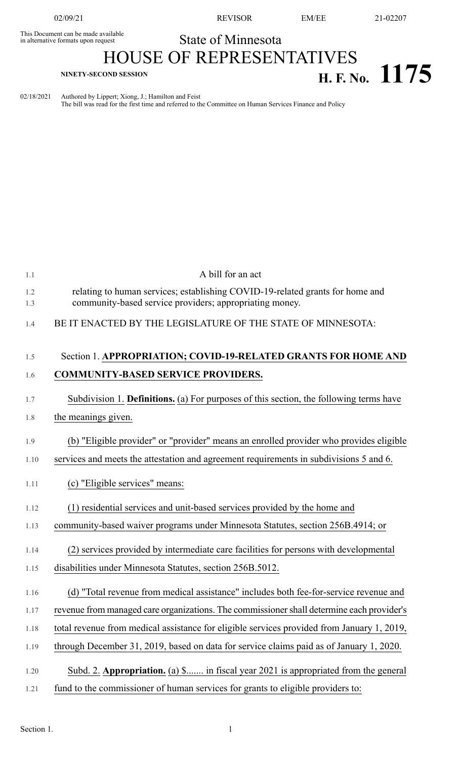This Document can be made available<br>in alternative formats upon request

02/09/21 REVISOR EM/EE 21-02207

## State of Minnesota

## HOUSE OF REPRESENTATIVES **H. F. NINETY-SECOND** SESSION<br>**H. F. No.** 1175

02/18/2021 Authored by Lippert; Xiong, J.; Hamilton and Feist The bill was read for the first time and referred to the Committee on Human Services Finance and Policy

| 1.1        | A bill for an act                                                                                                                        |
|------------|------------------------------------------------------------------------------------------------------------------------------------------|
| 1.2<br>1.3 | relating to human services; establishing COVID-19-related grants for home and<br>community-based service providers; appropriating money. |
| 1.4        | BE IT ENACTED BY THE LEGISLATURE OF THE STATE OF MINNESOTA:                                                                              |
| 1.5        | Section 1. APPROPRIATION; COVID-19-RELATED GRANTS FOR HOME AND                                                                           |
| 1.6        | <b>COMMUNITY-BASED SERVICE PROVIDERS.</b>                                                                                                |
| 1.7        | Subdivision 1. Definitions. (a) For purposes of this section, the following terms have                                                   |
| 1.8        | the meanings given.                                                                                                                      |
| 1.9        | (b) "Eligible provider" or "provider" means an enrolled provider who provides eligible                                                   |
| 1.10       | services and meets the attestation and agreement requirements in subdivisions 5 and 6.                                                   |
| 1.11       | (c) "Eligible services" means:                                                                                                           |
| 1.12       | (1) residential services and unit-based services provided by the home and                                                                |
| 1.13       | community-based waiver programs under Minnesota Statutes, section 256B.4914; or                                                          |
| 1.14       | (2) services provided by intermediate care facilities for persons with developmental                                                     |
| 1.15       | disabilities under Minnesota Statutes, section 256B.5012.                                                                                |
| 1.16       | (d) "Total revenue from medical assistance" includes both fee-for-service revenue and                                                    |
| 1.17       | revenue from managed care organizations. The commissioner shall determine each provider's                                                |
| 1.18       | total revenue from medical assistance for eligible services provided from January 1, 2019,                                               |
| 1.19       | through December 31, 2019, based on data for service claims paid as of January 1, 2020.                                                  |
| 1.20       | Subd. 2. Appropriation. (a) \$ in fiscal year 2021 is appropriated from the general                                                      |
| 1.21       | fund to the commissioner of human services for grants to eligible providers to:                                                          |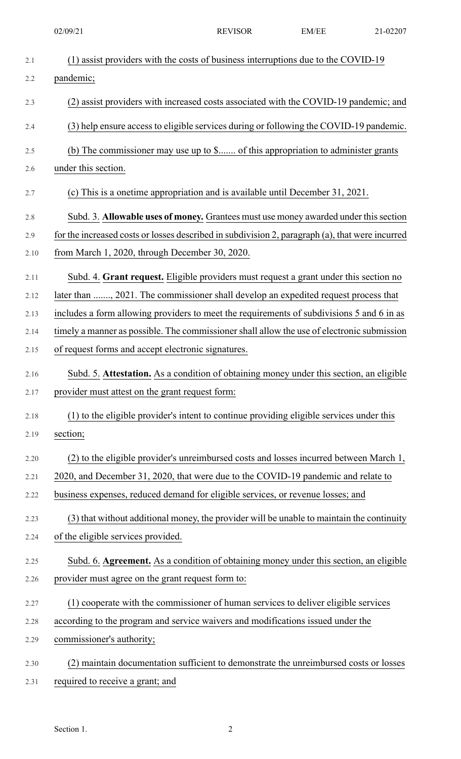02/09/21 REVISOR EM/EE 21-02207

| 2.1  | (1) assist providers with the costs of business interruptions due to the COVID-19               |
|------|-------------------------------------------------------------------------------------------------|
| 2.2  | pandemic;                                                                                       |
|      |                                                                                                 |
| 2.3  | (2) assist providers with increased costs associated with the COVID-19 pandemic; and            |
| 2.4  | (3) help ensure access to eligible services during or following the COVID-19 pandemic.          |
| 2.5  | (b) The commissioner may use up to \$ of this appropriation to administer grants                |
| 2.6  | under this section.                                                                             |
| 2.7  | (c) This is a onetime appropriation and is available until December 31, 2021.                   |
| 2.8  | Subd. 3. Allowable uses of money. Grantees must use money awarded under this section            |
| 2.9  | for the increased costs or losses described in subdivision 2, paragraph (a), that were incurred |
| 2.10 | from March 1, 2020, through December 30, 2020.                                                  |
| 2.11 | Subd. 4. Grant request. Eligible providers must request a grant under this section no           |
| 2.12 | later than , 2021. The commissioner shall develop an expedited request process that             |
| 2.13 | includes a form allowing providers to meet the requirements of subdivisions 5 and 6 in as       |
| 2.14 | timely a manner as possible. The commissioner shall allow the use of electronic submission      |
| 2.15 | of request forms and accept electronic signatures.                                              |
| 2.16 | Subd. 5. Attestation. As a condition of obtaining money under this section, an eligible         |
| 2.17 | provider must attest on the grant request form:                                                 |
| 2.18 | (1) to the eligible provider's intent to continue providing eligible services under this        |
| 2.19 | section;                                                                                        |
| 2.20 | (2) to the eligible provider's unreimbursed costs and losses incurred between March 1,          |
| 2.21 | 2020, and December 31, 2020, that were due to the COVID-19 pandemic and relate to               |
| 2.22 | business expenses, reduced demand for eligible services, or revenue losses; and                 |
| 2.23 | (3) that without additional money, the provider will be unable to maintain the continuity       |
| 2.24 | of the eligible services provided.                                                              |
| 2.25 | Subd. 6. Agreement. As a condition of obtaining money under this section, an eligible           |
| 2.26 | provider must agree on the grant request form to:                                               |
| 2.27 | (1) cooperate with the commissioner of human services to deliver eligible services              |
| 2.28 | according to the program and service waivers and modifications issued under the                 |
| 2.29 | commissioner's authority;                                                                       |
| 2.30 | (2) maintain documentation sufficient to demonstrate the unreimbursed costs or losses           |
| 2.31 | required to receive a grant; and                                                                |